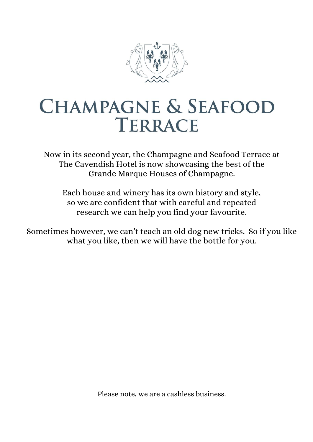

# **CHAMPAGNE & SEAFOOD** TERRACE

Now in its second year, the Champagne and Seafood Terrace at The Cavendish Hotel is now showcasing the best of the Grande Marque Houses of Champagne.

Each house and winery has its own history and style, so we are confident that with careful and repeated research we can help you find your favourite.

Sometimes however, we can't teach an old dog new tricks. So if you like what you like, then we will have the bottle for you.

Please note, we are a cashless business.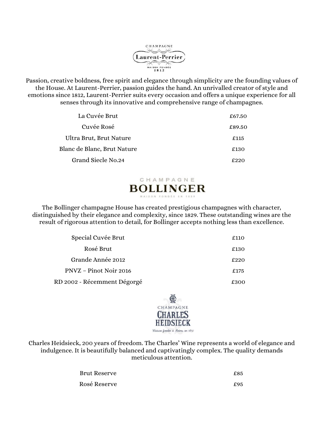

Passion, creative boldness, free spirit and elegance through simplicity are the founding values of the House. At Laurent-Perrier, passion guides the hand. An unrivalled creator of style and emotions since 1812, Laurent-Perrier suits every occasion and offers a unique experience for all senses through its innovative and comprehensive range of champagnes.

| La Cuvée Brut               | £67.50 |
|-----------------------------|--------|
| Cuvée Rosé                  | £89.50 |
| Ultra Brut, Brut Nature     | £115   |
| Blanc de Blanc, Brut Nature | £130   |
| Grand Siecle No.24          | ึ ควา∩ |

## CHAMPAGNE **BOLLINGER**

The Bollinger champagne House has created prestigious champagnes with character, distinguished by their elegance and complexity, since 1829. These outstanding wines are the result of rigorous attention to detail, for Bollinger accepts nothing less than excellence.

| Special Cuvée Brut          | £110 |
|-----------------------------|------|
| Rosé Brut                   | £130 |
| Grande Année 2012           | £220 |
| PNVZ – Pinot Noir 2016      | £175 |
| RD 2002 - Récemment Dégorgé | £300 |



Charles Heidsieck, 200 years of freedom. The Charles' Wine represents a world of elegance and indulgence. It is beautifully balanced and captivatingly complex. The quality demands meticulous attention.

| Brut Reserve | £85 |
|--------------|-----|
| Rosé Reserve | £95 |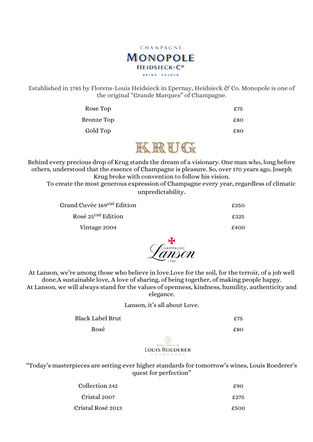

Established in 1785 by Florens-Louis Heidsieck in Epernay, Heidsieck & Co. Monopole is one of the original "Grande Marques" of Champagne.

| Rose Top   | £75 |
|------------|-----|
| Bronze Top | £80 |
| Gold Top   | £80 |

# KRUG

Behind every precious drop of Krug stands the dream of a visionary. One man who, long before others, understood that the essence of Champagne is pleasure. So, over 170 years ago, Joseph Krug broke with convention to follow his vision.

To create the most generous expression of Champagne every year, regardless of climatic unpredictability.

| Grand Cuvée 169EMÈ Edition | £250 |
|----------------------------|------|
| Rosé $25^{EME}$ Edition    | £325 |
| Vintage 2004               | £400 |
|                            |      |



At Lanson, we're among those who believe in love.Love for the soil, for the terroir, of a job well done.A sustainable love, A love of sharing, of being together, of making people happy. At Lanson, we will always stand for the values of openness, kindness, humility, authenticity and elegance.

#### Lanson, it's all about Love.

Black Label Brut **E**75

 $Rosé$   $£80$ 

LOUIS ROEDERER

"Today's masterpieces are setting ever higher standards for tomorrow's wines, Louis Roederer's quest for perfection"

| Collection 242    | f90  |
|-------------------|------|
| Cristal 2007      | £275 |
| Cristal Rosé 2013 | £500 |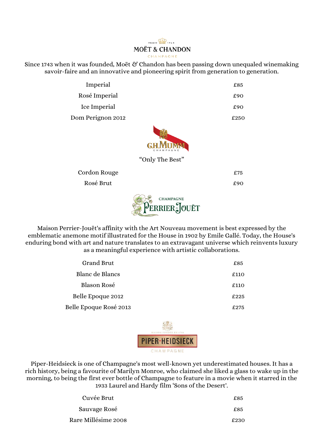#### FRANCE **MOËT & CHANDON** CHAMPAGNE

Since 1743 when it was founded, Moët & Chandon has been passing down unequaled winemaking savoir-faire and an innovative and pioneering spirit from generation to generation.

| Imperial          | £85  |
|-------------------|------|
| Rosé Imperial     | £90  |
| Ice Imperial      | £90  |
| Dom Perignon 2012 | £250 |



"Only The Best"

Cordon Rouge **EXECO EXECO EXECO EXECO**  $R$ osé Brut  $£90$ 



Maison Perrier-Jouët's affinity with the Art Nouveau movement is best expressed by the emblematic anemone motif illustrated for the House in 1902 by Emile Gallé. Today, the House's enduring bond with art and nature translates to an extravagant universe which reinvents luxury as a meaningful experience with artistic collaborations.

| <b>Grand Brut</b>      | £85. |
|------------------------|------|
| Blanc de Blancs        | £110 |
| Blason Rosé            | £110 |
| Belle Epoque 2012      | £225 |
| Belle Epoque Rosé 2013 | £275 |



Piper-Heidsieck is one of Champagne's most well-known yet underestimated houses. It has a rich history, being a favourite of Marilyn Monroe, who claimed she liked a glass to wake up in the morning, to being the first ever bottle of Champagne to feature in a movie when it starred in the 1933 Laurel and Hardy film 'Sons of the Desert'.

| Cuvée Brut          | £85  |
|---------------------|------|
| Sauvage Rosé        | £85  |
| Rare Millésime 2008 | f230 |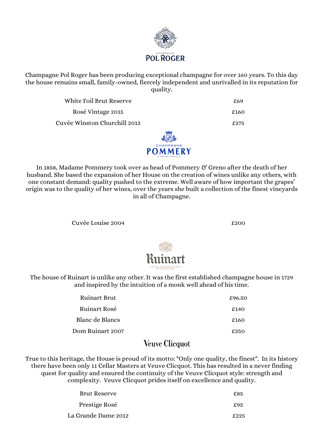

Champagne Pol Roger has been producing exceptional champagne for over 160 years. To this day the house remains small, family-owned, fiercely independent and unrivalled in its reputation for quality.

White Foil Brut Reserve **EXECUTE:** E69

Rosé Vintage 2015  $\epsilon$ 160

Cuvée Winston Churchill 2013 £275

![](_page_4_Picture_5.jpeg)

In 1858, Madame Pommery took over as head of Pommery & Greno after the death of her husband. She based the expansion of her House on the creation of wines unlike any others, with one constant demand: quality pushed to the extreme. Well aware of how important the grapes' origin was to the quality of her wines, over the years she built a collection of the finest vineyards in all of Champagne.

Cuvée Louise 2004

![](_page_4_Picture_9.jpeg)

The house of Ruinart is unlike any other. It was the first established champagne house in 1729 and inspired by the intuition of a monk well ahead of his time.

| <b>Ruinart Brut</b> | £96.50 |
|---------------------|--------|
| <b>Ruinart Rosé</b> | £140   |
| Blanc de Blancs     | £160   |
| Dom Ruinart 2007    | £250   |
|                     |        |

## **Veuve Clicquot**

True to this heritage, the House is proud of its motto: "Only one quality, the finest". In its history there have been only 11 Cellar Masters at Veuve Clicquot. This has resulted in a never finding quest for quality and ensured the continuity of the Veuve Clicquot style: strength and complexity. Veuve Clicquot prides itself on excellence and quality.

| Brut Reserve        | £85  |
|---------------------|------|
| Prestige Rosé       | £95  |
| La Grande Dame 2012 | f225 |